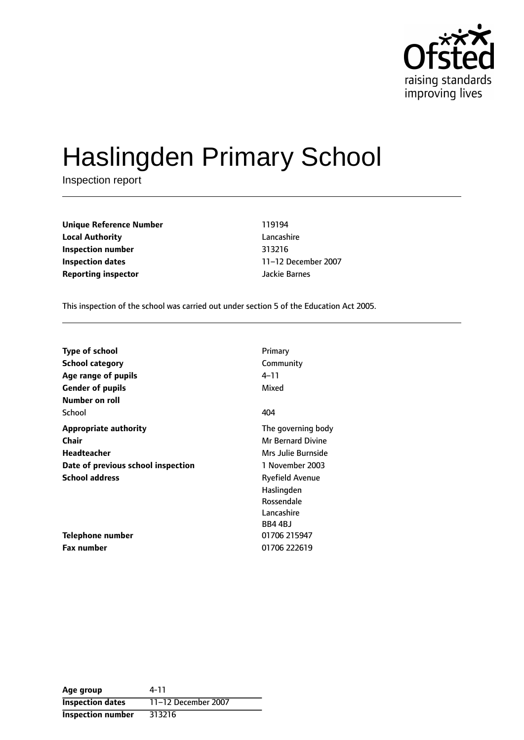

# Haslingden Primary School

Inspection report

**Unique Reference Number** 119194 **Local Authority** Lancashire **Inspection number** 313216 **Inspection dates** 11-12 December 2007 **Reporting inspector and all all instruments** details a Jackie Barnes

This inspection of the school was carried out under section 5 of the Education Act 2005.

| <b>Type of school</b>              | Primary                  |
|------------------------------------|--------------------------|
| School category                    | Community                |
| Age range of pupils                | 4–11                     |
| <b>Gender of pupils</b>            | Mixed                    |
| Number on roll                     |                          |
| School                             | 404                      |
| <b>Appropriate authority</b>       | The governing body       |
| Chair                              | <b>Mr Bernard Divine</b> |
| Headteacher                        | Mrs Julie Burnside       |
| Date of previous school inspection | 1 November 2003          |
| <b>School address</b>              | Ryefield Avenue          |
|                                    | Haslingden               |
|                                    | Rossendale               |
|                                    | Lancashire               |
|                                    | BB4 4BJ                  |
| <b>Telephone number</b>            | 01706 215947             |
| Fax number                         | 01706 222619             |

**Age group** 4-11 **Inspection dates** 11-12 December 2007 **Inspection number** 313216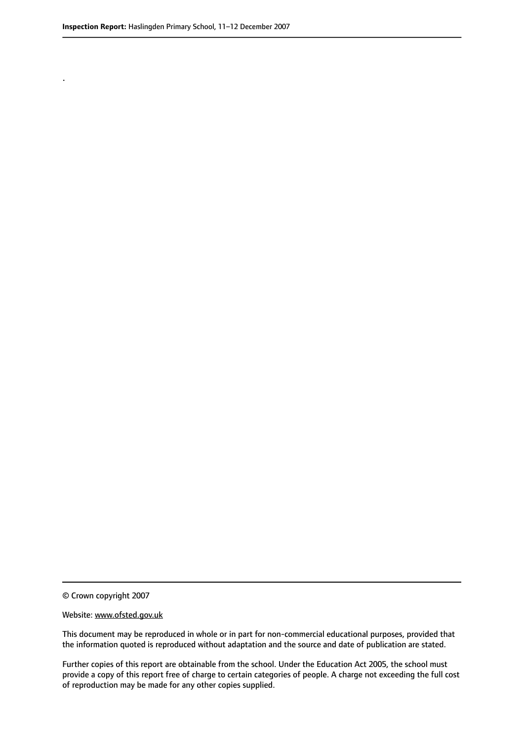.

© Crown copyright 2007

#### Website: www.ofsted.gov.uk

This document may be reproduced in whole or in part for non-commercial educational purposes, provided that the information quoted is reproduced without adaptation and the source and date of publication are stated.

Further copies of this report are obtainable from the school. Under the Education Act 2005, the school must provide a copy of this report free of charge to certain categories of people. A charge not exceeding the full cost of reproduction may be made for any other copies supplied.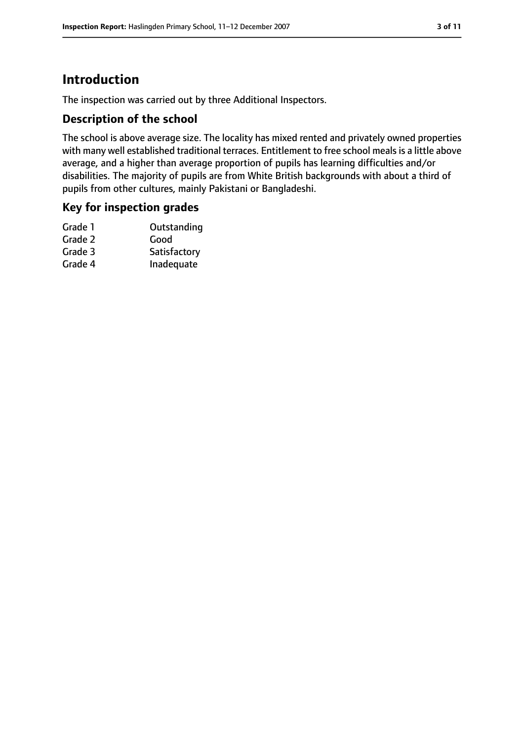# **Introduction**

The inspection was carried out by three Additional Inspectors.

#### **Description of the school**

The school is above average size. The locality has mixed rented and privately owned properties with many well established traditional terraces. Entitlement to free school meals is a little above average, and a higher than average proportion of pupils has learning difficulties and/or disabilities. The majority of pupils are from White British backgrounds with about a third of pupils from other cultures, mainly Pakistani or Bangladeshi.

#### **Key for inspection grades**

| Outstanding  |
|--------------|
| Good         |
| Satisfactory |
| Inadequate   |
|              |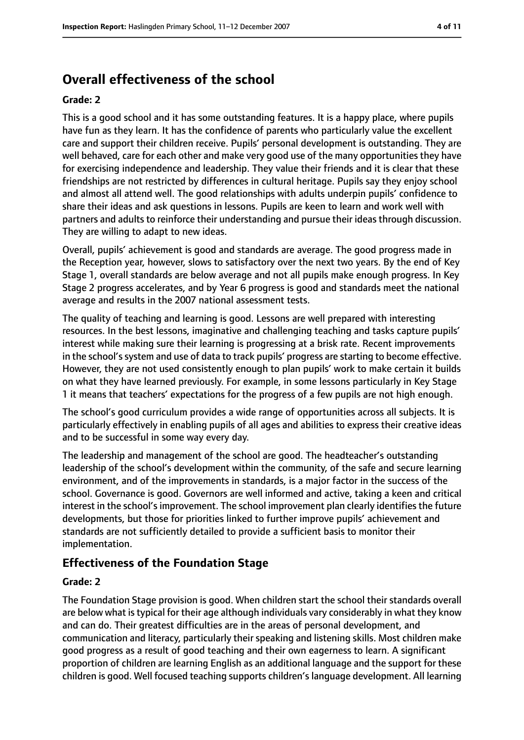## **Overall effectiveness of the school**

#### **Grade: 2**

This is a good school and it has some outstanding features. It is a happy place, where pupils have fun as they learn. It has the confidence of parents who particularly value the excellent care and support their children receive. Pupils' personal development is outstanding. They are well behaved, care for each other and make very good use of the many opportunities they have for exercising independence and leadership. They value their friends and it is clear that these friendships are not restricted by differences in cultural heritage. Pupils say they enjoy school and almost all attend well. The good relationships with adults underpin pupils' confidence to share their ideas and ask questions in lessons. Pupils are keen to learn and work well with partners and adults to reinforce their understanding and pursue their ideas through discussion. They are willing to adapt to new ideas.

Overall, pupils' achievement is good and standards are average. The good progress made in the Reception year, however, slows to satisfactory over the next two years. By the end of Key Stage 1, overall standards are below average and not all pupils make enough progress. In Key Stage 2 progress accelerates, and by Year 6 progress is good and standards meet the national average and results in the 2007 national assessment tests.

The quality of teaching and learning is good. Lessons are well prepared with interesting resources. In the best lessons, imaginative and challenging teaching and tasks capture pupils' interest while making sure their learning is progressing at a brisk rate. Recent improvements in the school's system and use of data to track pupils' progress are starting to become effective. However, they are not used consistently enough to plan pupils' work to make certain it builds on what they have learned previously. For example, in some lessons particularly in Key Stage 1 it means that teachers' expectations for the progress of a few pupils are not high enough.

The school's good curriculum provides a wide range of opportunities across all subjects. It is particularly effectively in enabling pupils of all ages and abilities to express their creative ideas and to be successful in some way every day.

The leadership and management of the school are good. The headteacher's outstanding leadership of the school's development within the community, of the safe and secure learning environment, and of the improvements in standards, is a major factor in the success of the school. Governance is good. Governors are well informed and active, taking a keen and critical interest in the school's improvement. The school improvement plan clearly identifies the future developments, but those for priorities linked to further improve pupils' achievement and standards are not sufficiently detailed to provide a sufficient basis to monitor their implementation.

#### **Effectiveness of the Foundation Stage**

#### **Grade: 2**

The Foundation Stage provision is good. When children start the school their standards overall are below what is typical for their age although individuals vary considerably in what they know and can do. Their greatest difficulties are in the areas of personal development, and communication and literacy, particularly their speaking and listening skills. Most children make good progress as a result of good teaching and their own eagerness to learn. A significant proportion of children are learning English as an additional language and the support for these children is good. Well focused teaching supports children's language development. All learning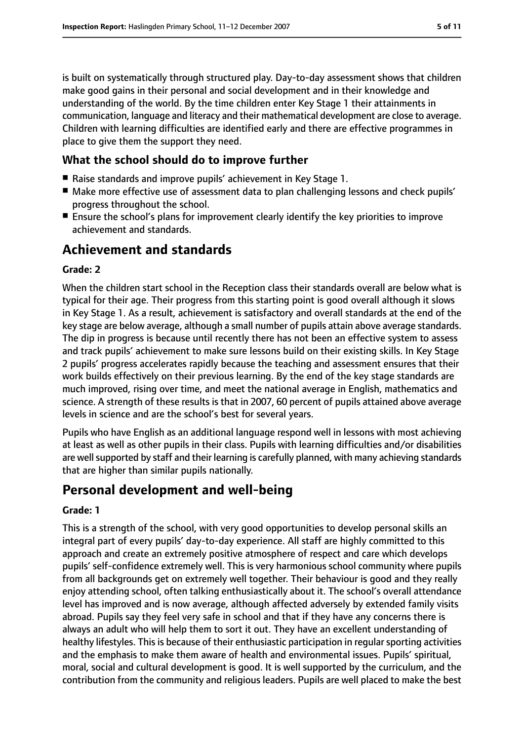is built on systematically through structured play. Day-to-day assessment shows that children make good gains in their personal and social development and in their knowledge and understanding of the world. By the time children enter Key Stage 1 their attainments in communication, language and literacy and their mathematical development are close to average. Children with learning difficulties are identified early and there are effective programmes in place to give them the support they need.

#### **What the school should do to improve further**

- Raise standards and improve pupils' achievement in Key Stage 1.
- Make more effective use of assessment data to plan challenging lessons and check pupils' progress throughout the school.
- Ensure the school's plans for improvement clearly identify the key priorities to improve achievement and standards.

## **Achievement and standards**

#### **Grade: 2**

When the children start school in the Reception class their standards overall are below what is typical for their age. Their progress from this starting point is good overall although it slows in Key Stage 1. As a result, achievement is satisfactory and overall standards at the end of the key stage are below average, although a small number of pupils attain above average standards. The dip in progress is because until recently there has not been an effective system to assess and track pupils' achievement to make sure lessons build on their existing skills. In Key Stage 2 pupils' progress accelerates rapidly because the teaching and assessment ensures that their work builds effectively on their previous learning. By the end of the key stage standards are much improved, rising over time, and meet the national average in English, mathematics and science. A strength of these results is that in 2007, 60 percent of pupils attained above average levels in science and are the school's best for several years.

Pupils who have English as an additional language respond well in lessons with most achieving at least as well as other pupils in their class. Pupils with learning difficulties and/or disabilities are well supported by staff and their learning is carefully planned, with many achieving standards that are higher than similar pupils nationally.

## **Personal development and well-being**

#### **Grade: 1**

This is a strength of the school, with very good opportunities to develop personal skills an integral part of every pupils' day-to-day experience. All staff are highly committed to this approach and create an extremely positive atmosphere of respect and care which develops pupils' self-confidence extremely well. This is very harmonious school community where pupils from all backgrounds get on extremely well together. Their behaviour is good and they really enjoy attending school, often talking enthusiastically about it. The school's overall attendance level has improved and is now average, although affected adversely by extended family visits abroad. Pupils say they feel very safe in school and that if they have any concerns there is always an adult who will help them to sort it out. They have an excellent understanding of healthy lifestyles. This is because of their enthusiastic participation in regular sporting activities and the emphasis to make them aware of health and environmental issues. Pupils' spiritual, moral, social and cultural development is good. It is well supported by the curriculum, and the contribution from the community and religious leaders. Pupils are well placed to make the best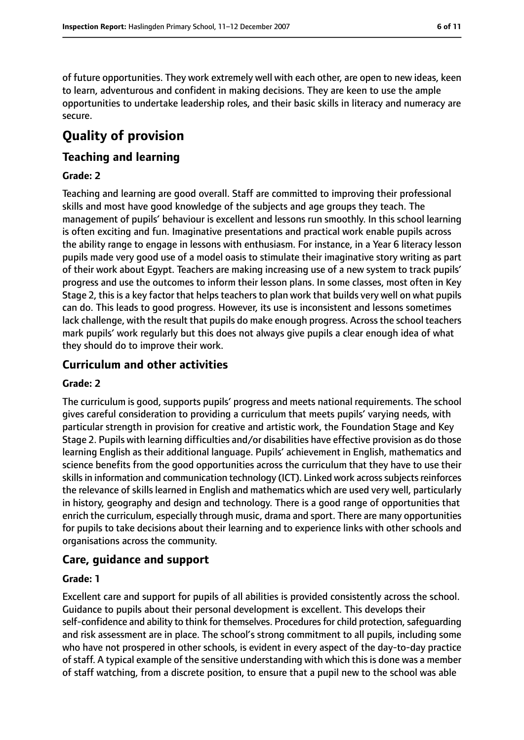of future opportunities. They work extremely well with each other, are open to new ideas, keen to learn, adventurous and confident in making decisions. They are keen to use the ample opportunities to undertake leadership roles, and their basic skills in literacy and numeracy are secure.

# **Quality of provision**

#### **Teaching and learning**

#### **Grade: 2**

Teaching and learning are good overall. Staff are committed to improving their professional skills and most have good knowledge of the subjects and age groups they teach. The management of pupils' behaviour is excellent and lessons run smoothly. In this school learning is often exciting and fun. Imaginative presentations and practical work enable pupils across the ability range to engage in lessons with enthusiasm. For instance, in a Year 6 literacy lesson pupils made very good use of a model oasis to stimulate their imaginative story writing as part of their work about Egypt. Teachers are making increasing use of a new system to track pupils' progress and use the outcomes to inform their lesson plans. In some classes, most often in Key Stage 2, this is a key factor that helps teachers to plan work that builds very well on what pupils can do. This leads to good progress. However, its use is inconsistent and lessons sometimes lack challenge, with the result that pupils do make enough progress. Across the school teachers mark pupils' work regularly but this does not always give pupils a clear enough idea of what they should do to improve their work.

#### **Curriculum and other activities**

#### **Grade: 2**

The curriculum is good, supports pupils' progress and meets national requirements. The school gives careful consideration to providing a curriculum that meets pupils' varying needs, with particular strength in provision for creative and artistic work, the Foundation Stage and Key Stage 2. Pupils with learning difficulties and/or disabilities have effective provision as do those learning English as their additional language. Pupils' achievement in English, mathematics and science benefits from the good opportunities across the curriculum that they have to use their skills in information and communication technology (ICT). Linked work across subjects reinforces the relevance of skills learned in English and mathematics which are used very well, particularly in history, geography and design and technology. There is a good range of opportunities that enrich the curriculum, especially through music, drama and sport. There are many opportunities for pupils to take decisions about their learning and to experience links with other schools and organisations across the community.

#### **Care, guidance and support**

#### **Grade: 1**

Excellent care and support for pupils of all abilities is provided consistently across the school. Guidance to pupils about their personal development is excellent. This develops their self-confidence and ability to think for themselves. Procedures for child protection, safequarding and risk assessment are in place. The school's strong commitment to all pupils, including some who have not prospered in other schools, is evident in every aspect of the day-to-day practice of staff. A typical example of the sensitive understanding with which this is done was a member of staff watching, from a discrete position, to ensure that a pupil new to the school was able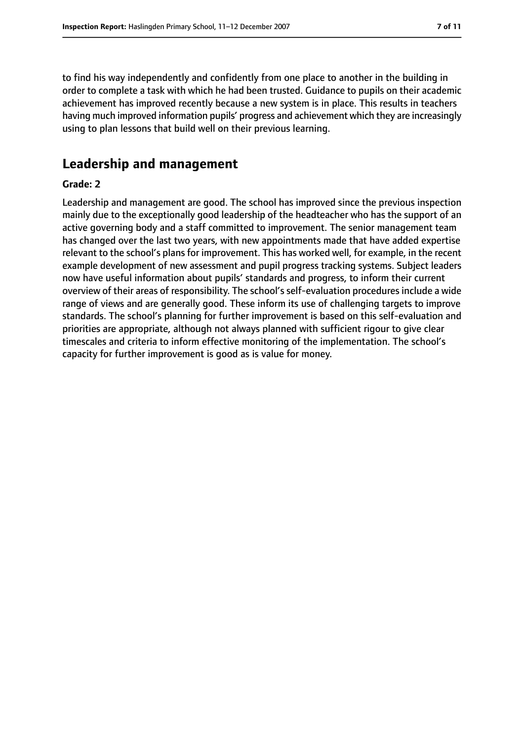to find his way independently and confidently from one place to another in the building in order to complete a task with which he had been trusted. Guidance to pupils on their academic achievement has improved recently because a new system is in place. This results in teachers having much improved information pupils' progress and achievement which they are increasingly using to plan lessons that build well on their previous learning.

### **Leadership and management**

#### **Grade: 2**

Leadership and management are good. The school has improved since the previous inspection mainly due to the exceptionally good leadership of the headteacher who has the support of an active governing body and a staff committed to improvement. The senior management team has changed over the last two years, with new appointments made that have added expertise relevant to the school's plans for improvement. This has worked well, for example, in the recent example development of new assessment and pupil progress tracking systems. Subject leaders now have useful information about pupils' standards and progress, to inform their current overview of their areas of responsibility. The school's self-evaluation procedures include a wide range of views and are generally good. These inform its use of challenging targets to improve standards. The school's planning for further improvement is based on this self-evaluation and priorities are appropriate, although not always planned with sufficient rigour to give clear timescales and criteria to inform effective monitoring of the implementation. The school's capacity for further improvement is good as is value for money.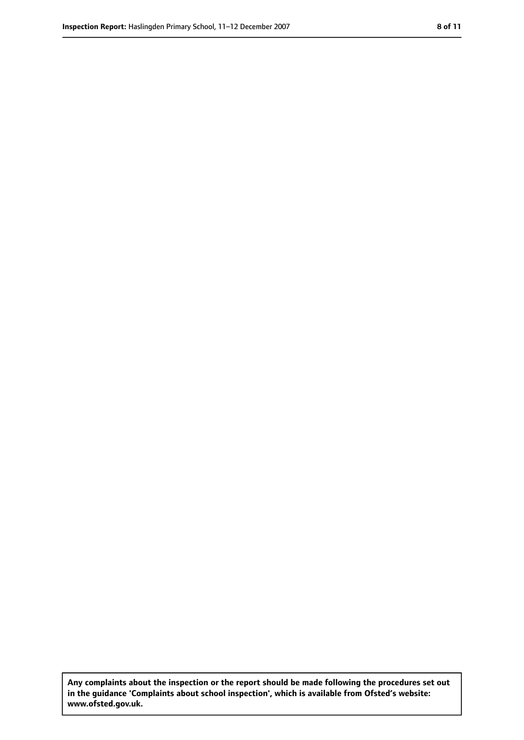**Any complaints about the inspection or the report should be made following the procedures set out in the guidance 'Complaints about school inspection', which is available from Ofsted's website: www.ofsted.gov.uk.**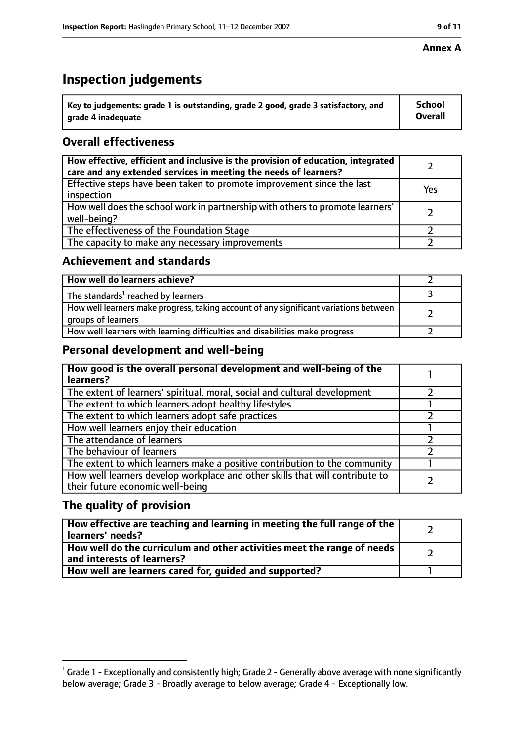# **Inspection judgements**

| $^{\backprime}$ Key to judgements: grade 1 is outstanding, grade 2 good, grade 3 satisfactory, and | <b>School</b>  |
|----------------------------------------------------------------------------------------------------|----------------|
| arade 4 inadequate                                                                                 | <b>Overall</b> |

#### **Overall effectiveness**

| How effective, efficient and inclusive is the provision of education, integrated<br>care and any extended services in meeting the needs of learners? |     |
|------------------------------------------------------------------------------------------------------------------------------------------------------|-----|
| Effective steps have been taken to promote improvement since the last<br>inspection                                                                  | Yes |
| How well does the school work in partnership with others to promote learners'<br>well-being?                                                         |     |
| The effectiveness of the Foundation Stage                                                                                                            |     |
| The capacity to make any necessary improvements                                                                                                      |     |

#### **Achievement and standards**

| How well do learners achieve?                                                                               |  |
|-------------------------------------------------------------------------------------------------------------|--|
| The standards <sup>1</sup> reached by learners                                                              |  |
| How well learners make progress, taking account of any significant variations between<br>groups of learners |  |
| How well learners with learning difficulties and disabilities make progress                                 |  |

#### **Personal development and well-being**

| How good is the overall personal development and well-being of the<br>learners?                                  |  |
|------------------------------------------------------------------------------------------------------------------|--|
| The extent of learners' spiritual, moral, social and cultural development                                        |  |
| The extent to which learners adopt healthy lifestyles                                                            |  |
| The extent to which learners adopt safe practices                                                                |  |
| How well learners enjoy their education                                                                          |  |
| The attendance of learners                                                                                       |  |
| The behaviour of learners                                                                                        |  |
| The extent to which learners make a positive contribution to the community                                       |  |
| How well learners develop workplace and other skills that will contribute to<br>their future economic well-being |  |

#### **The quality of provision**

| How effective are teaching and learning in meeting the full range of the<br>learners' needs?          |  |
|-------------------------------------------------------------------------------------------------------|--|
| How well do the curriculum and other activities meet the range of needs<br>and interests of learners? |  |
| How well are learners cared for, quided and supported?                                                |  |

 $^1$  Grade 1 - Exceptionally and consistently high; Grade 2 - Generally above average with none significantly below average; Grade 3 - Broadly average to below average; Grade 4 - Exceptionally low.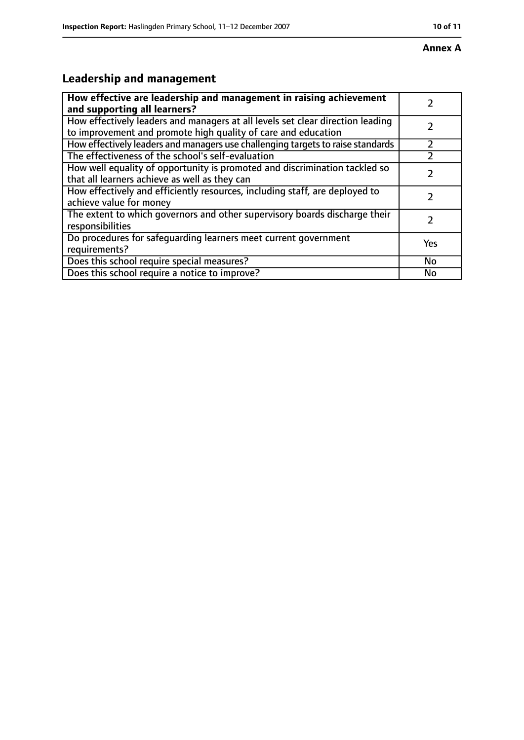# **Leadership and management**

| How effective are leadership and management in raising achievement<br>and supporting all learners?                                              |     |
|-------------------------------------------------------------------------------------------------------------------------------------------------|-----|
| How effectively leaders and managers at all levels set clear direction leading<br>to improvement and promote high quality of care and education |     |
| How effectively leaders and managers use challenging targets to raise standards                                                                 |     |
| The effectiveness of the school's self-evaluation                                                                                               |     |
| How well equality of opportunity is promoted and discrimination tackled so<br>that all learners achieve as well as they can                     |     |
| How effectively and efficiently resources, including staff, are deployed to<br>achieve value for money                                          |     |
| The extent to which governors and other supervisory boards discharge their<br>responsibilities                                                  |     |
| Do procedures for safequarding learners meet current government<br>requirements?                                                                | Yes |
| Does this school require special measures?                                                                                                      | No  |
| Does this school require a notice to improve?                                                                                                   | No  |